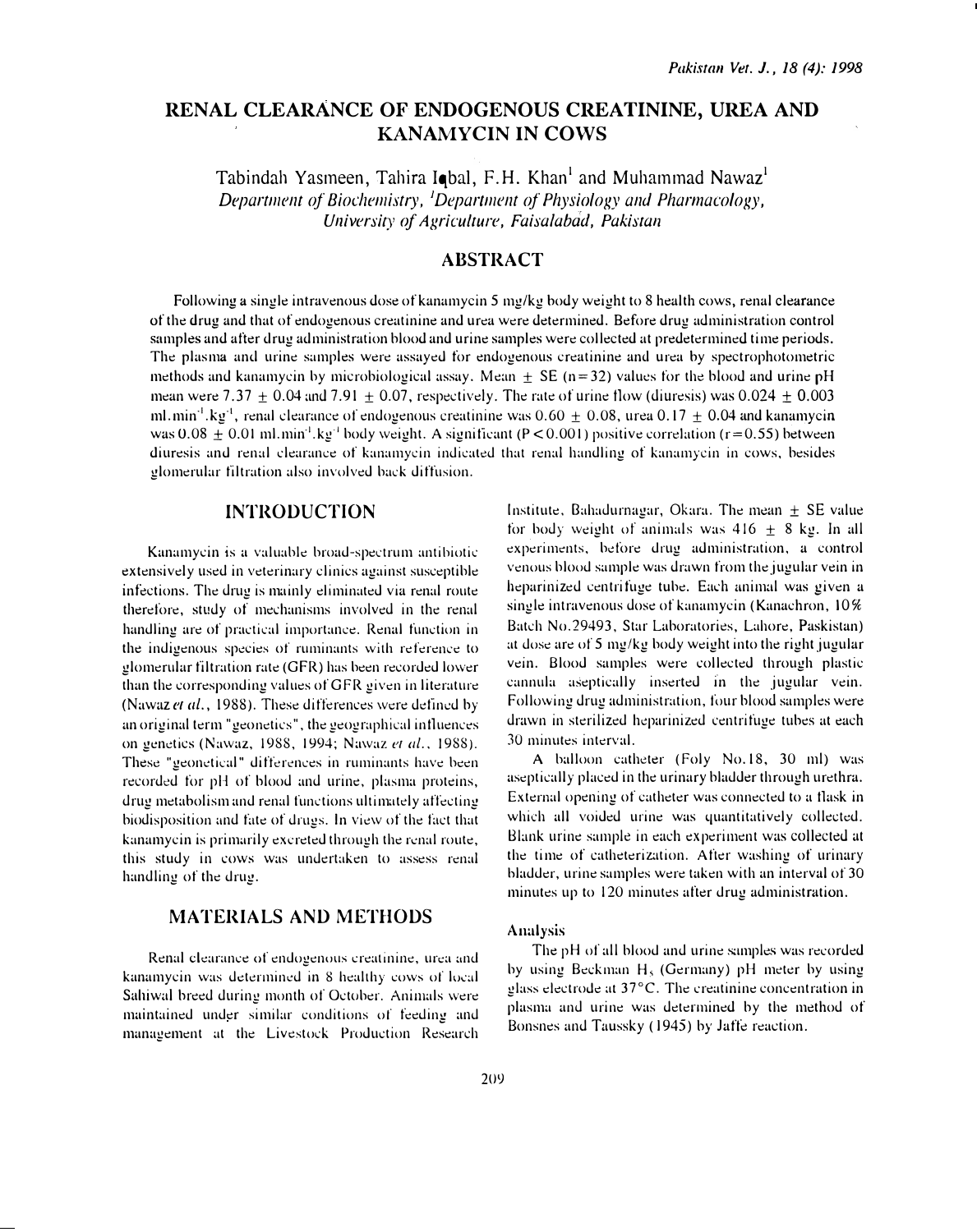# RENAL CLEARANCE OF ENDOGENOUS CREATININE, UREA AND KANAMYCIN IN COWS

Tabindah Yasmeen, Tahira Iobal, F.H. Khan<sup>1</sup> and Muhammad Nawaz<sup>1</sup> Department of Biochemistry, <sup>1</sup>Department of Physiology and Pharmacology, University of Agriculture, Faisalabad, Pakistan

## ABSTRACT

Following a single intravenous dose of kanamycin 5 mg/kg body weight to 8 health cows, renal clearance of the drug and that of endogenous creatinine and urea were determined. Before drug administration control samples and after drug administration blood and urine samples were collected at predetermined time periods. The plasma and urine samples were assayed for endogenous creatinine and urea by spectrophotometric methods and kanamycin by microbiological assay. Mean  $\pm$  SE (n=32) values for the blood and urine pH mean were 7.37  $\pm$  0.04 and 7.91  $\pm$  0.07, respectively. The rate of urine flow (diuresis) was 0.024  $\pm$  0.003 ml.min<sup>-1</sup>.kg<sup>-1</sup>, renal clearance of endogenous creatinine was  $0.60 + 0.08$ , urea  $0.17 + 0.04$  and kanamycin was 0.08  $\pm$  0.01 ml.min<sup>-1</sup>.kg<sup>-1</sup> body weight. A significant (P < 0.001) positive correlation (r=0.55) between diuresis and renal clearance of kanamycin indicated that renal handling of kanamycin in cows, besides glomerular filtration also involved back diffusion.

### **INTRODUCTION**

Kanamycin is a valuable broad-spectrum antibiotic extensively used in veterinary clinics against susceptible infections. The drug is mainly eliminated via renal route therefore, study of mechanisms involved in the renal handling are of practical importance. Renal function in the indigenous species of ruminants with reference to glomerular filtration rate (GFR) has been recorded lower than the corresponding values of GFR given in literature (Nawaz et al., 1988). These differences were defined by an original term "geonetics", the geographical influences on genetics (Nawaz, 1988, 1994; Nawaz et al., 1988). These "geonetical" differences in ruminants have been recorded for pH of blood and urine, plasma proteins, drug metabolism and renal functions ultimately affecting biodisposition and fate of drugs. In view of the fact that kanamycin is primarily excreted through the renal route, this study in cows was undertaken to assess renal handling of the drug.

## **MATERIALS AND METHODS**

Renal clearance of endogenous creatinine, urea and kanamycin was determined in 8 healthy cows of local Sahiwal breed during month of October. Animals were maintained under similar conditions of feeding and manugement at the Livestock Production Research

Institute, Bahadurnagar, Okara. The mean  $\pm$  SE value for body weight of animals was  $416 + 8$  kg. In all experiments, before drug administration, a control venous blood sample was drawn from the jugular vein in heparinized centrifuge tube. Each animal was given a single intravenous dose of kanamycin (Kanachron,  $10\%$ Batch No.29493, Star Laboratories, Lahore, Paskistan) at dose are of 5 mg/kg body weight into the right jugular vein. Blood samples were collected through plastic cannula aseptically inserted in the jugular vein. Following drug administration, four blood samples were drawn in sterilized heparinized centrifuge tubes at each 30 minutes interval.

A balloon catheter (Foly No. 18, 30 ml) was aseptically placed in the urinary bladder through urethra. External opening of catheter was connected to a flask in which all voided urine was quantitatively collected. Blank urine sample in each experiment was collected at the time of catheterization. After washing of urinary bladder, urine samples were taken with an interval of 30 minutes up to 120 minutes after drug administration.

#### Analysis

The pH of all blood and urine samples was recorded by using Beckman  $H<sub>3</sub>$  (Germany) pH meter by using glass electrode at 37°C. The creatinine concentration in plasma and urine was determined by the method of Bonsnes and Taussky (1945) by Jaffe reaction.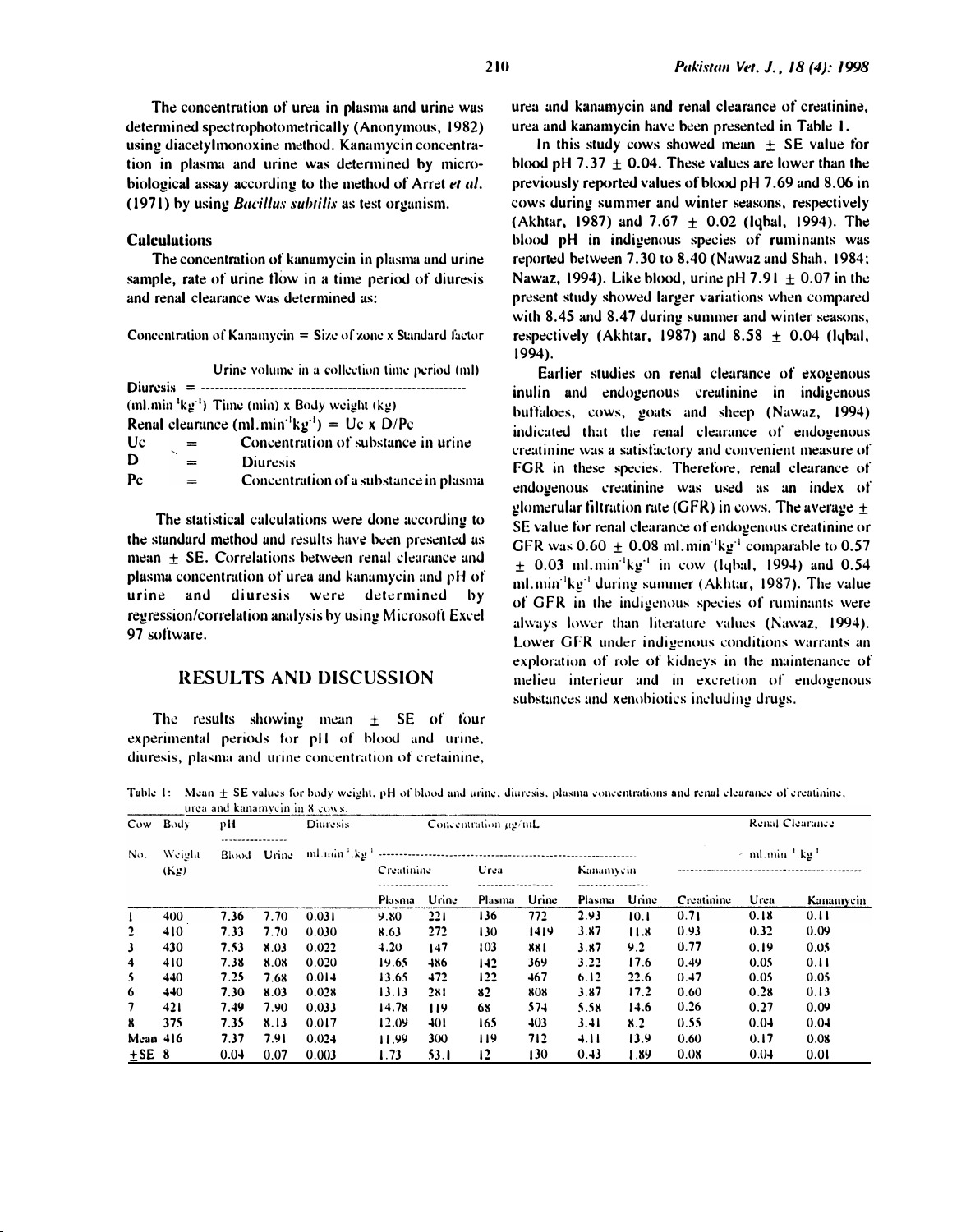The concentration of urea in plasma and urine was determined spectrophotometrically (Anonymous, 1982) using diacetylmonoxine method. Kanamycin concentration in plasma and urine was determined by microbiological assay according to the method of Arret et al. (1971) by using *Bacillus subtilis* as test organism.

#### **Calculations**

The concentration of kanamycin in plasma and urine sample, rate of urine flow in a time period of diuresis and renal clearance was determined as:

Concentration of Kanamycin  $=$  Size of zone x Standard factor

Urine volume in a collection time period (ml) (ml.min<sup>-1</sup> $kg^{-1}$ ) Time (min) x Body weight (kg) Renal clearance (ml.min<sup>-1</sup> $kg^{-1}$ ) = Uc x D/Pc Uc Concentration of substance in urine  $=$ D  $=$ **Diuresis**  $P_{C}$ Concentration of a substance in plasma  $=$ 

The statistical calculations were done according to the standard method and results have been presented as mean + SE. Correlations between renal clearance and plasma concentration of urea and kanamycin and pH of urine and diuresis were determined by regression/correlation analysis by using Microsoft Excel 97 software.

#### **RESULTS AND DISCUSSION**

The results showing mean  $\pm$  SE of four experimental periods for pH of blood and urine, diuresis, plasma and urine concentration of cretainine,

urea and kanamycin and renal clearance of creatinine, urea and kanamycin have been presented in Table 1.

In this study cows showed mean  $\pm$  SE value for blood pH  $7.37 + 0.04$ . These values are lower than the previously reported values of blood pH 7.69 and 8.06 in cows during summer and winter seasons, respectively (Akhtar, 1987) and  $7.67 + 0.02$  (labal, 1994). The blood pH in indigenous species of ruminants was reported between 7.30 to 8.40 (Nawaz and Shah, 1984; Nawaz, 1994). Like blood, urine pH 7.91  $\pm$  0.07 in the present study showed larger variations when compared with 8.45 and 8.47 during summer and winter seasons, respectively (Akhtar, 1987) and  $8.58 \pm 0.04$  (lybal, 1994).

Earlier studies on renal clearance of exogenous inulin and endogenous creatinine in indigenous buffaloes, cows, goats and sheep (Nawaz, 1994) indicated that the renal clearance of endogenous creatinine was a satisfactory and convenient measure of FGR in these species. Therefore, renal clearance of endogenous creatinine was used as an index of glomerular filtration rate (GFR) in cows. The average  $\pm$ SE value for renal clearance of endogenous creatinine or GFR was  $0.60 \pm 0.08$  ml.min<sup>-1</sup>kg<sup>-1</sup> comparable to 0.57  $\pm$  0.03 ml.min<sup>-1</sup>kg<sup>-1</sup> in cow (lqbal, 1994) and 0.54 ml.min<sup>-1</sup>kg<sup>-1</sup> during summer (Akhtar, 1987). The value of GFR in the indigenous species of ruminants were always lower than literature values (Nawaz, 1994). Lower GFR under indigenous conditions warrants an exploration of role of kidneys in the maintenance of melieu interieur and in excretion of endogenous substances and xenobiotics including drugs.

Table 1: Mean ± SE values for body weight, pH of blood and urine, diuresis, plasma concentrations and renal clearance of creatinine, usa and kananyain in V. Janu

| Cow Body<br>No. | Weight<br>(K <sub>2</sub> ) | рH    |       | Diuresis | Concentration ug/mL |       |               |                 |           |       |            | Renal Clearance                      |           |
|-----------------|-----------------------------|-------|-------|----------|---------------------|-------|---------------|-----------------|-----------|-------|------------|--------------------------------------|-----------|
|                 |                             | Blood | Urine |          | Creatinine          |       | Urea          |                 | Kanamycin |       |            | $\leq$ ml.min $^{+}$ kg <sup>+</sup> |           |
|                 |                             |       |       |          | Plasma              | Urine | Plasma        | Urine           | Plasma    | Urine | Creatinine | Urea                                 | Kanamyein |
|                 | 400                         | 7.36  | 7.70  | 0.031    | 9.80                | 221   | 136           | 772             | 2.93      | 10.1  | 0.71       | 0.18                                 | 0.11      |
| $\overline{2}$  | 410                         | 7.33  | 7.70  | 0.030    | 8.63                | 272   | 130           | 1419            | 3.87      | 11.8  | 0.93       | 0.32                                 | 0.09      |
| 3               | 430                         | 7.53  | 8.03  | 0.022    | 4.20                | 147   | 103           | 881             | 3.87      | 9.2   | 0.77       | 0.19                                 | 0.05      |
| 4               | 410                         | 7.38  | 8.08  | 0.020    | 19.65               | 486   | 142           | 369             | 3.22      | 17.6  | 0.49       | 0.05                                 | 0.11      |
| 5               | 440                         | 7.25  | 7.68  | 0.014    | 13.65               | 472   | 122           | 467             | 6.12      | 22.6  | 0.47       | 0.05                                 | 0.05      |
| 6               | 440                         | 7.30  | 8.03  | 0.028    | 13.13               | 281   | 82            | 808             | 3.87      | 17.2  | 0.60       | 0.28                                 | 0.13      |
| 7               | 421                         | 7.49  | 7.90  | 0.033    | 14.78               | 119   | 68            | 574             | 5.58      | 14.6  | 0.26       | 0.27                                 | 0.09      |
| 8               | 375                         | 7.35  | 8.13  | 0.017    | 12.09               | 401   | 165           | 40 <sub>3</sub> | 3.41      | 8.2   | 0.55       | 0.04                                 | 0.04      |
| Mean 416        |                             | 7.37  | 7.91  | 0.024    | 11.99               | 300   | 119           | 712             | 4.11      | 13.9  | 0.60       | 0.17                                 | 0.08      |
| $+$ SE 8        |                             | 0.04  | 0.07  | 0.003    | 1.73                | 53.1  | $\mathbf{12}$ | 130             | 0.43      | 1.89  | 0.08       | 0.04                                 | 0.01      |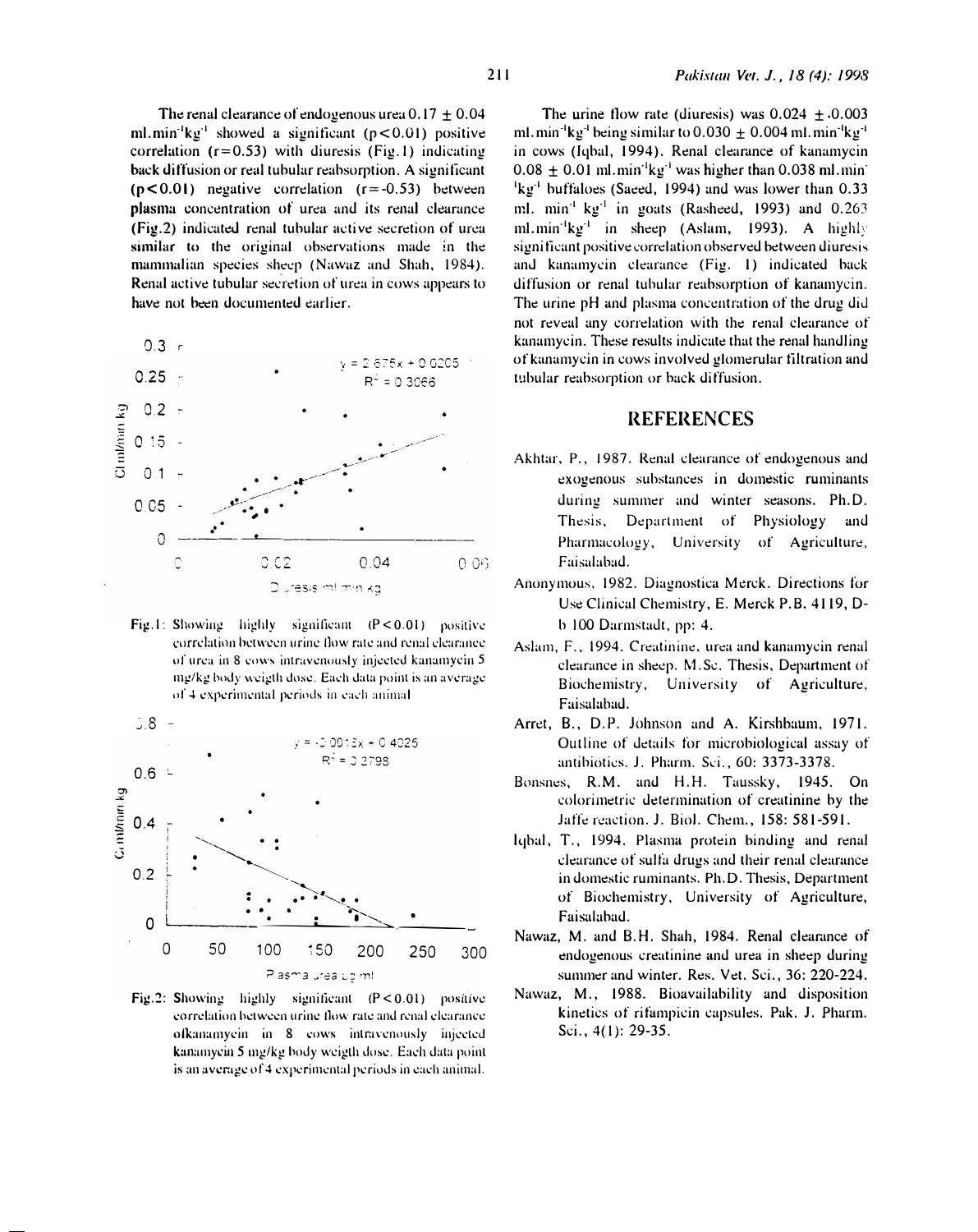The renal clearance of endogenous urea  $0.17 + 0.04$ ml.min<sup>-1</sup> $kg^{-1}$  showed a significant ( $p < 0.01$ ) positive correlation  $(r=0.53)$  with diuresis (Fig.1) indicating back diffusion or real tubular reabsorption. A significant  $(p<0.01)$  negative correlation  $(r=-0.53)$  between plasma concentration of urea and its renal clearance (Fig.2) indicated renal tubular active secretion of urea similar to the original observations made in the mammalian species sheep (Nawaz and Shah, 1984). Renal active tubular secretion of urea in cows appears to have not been documented earlier.



Fig.1: Showing highly significant  $(P < 0.01)$  positive correlation between urine flow rate and renal clearance of urea in 8 cows intravenously injected kanamycin 5 mg/kg body weigth dose. Each data point is an average of 4 experimental periods in each animal



Fig.2: Showing highly significant  $(P < 0.01)$  positive correlation between urine flow rate and renal clearance ofkanamyein in 8 cows intravenously injected kanamyein 5 mg/kg body weigth dose. Each data point is an average of 4 experimental periods in each animal.

The urine flow rate (diuresis) was  $0.024 + 0.003$ ml.min<sup>-1</sup>kg<sup>-1</sup> being similar to 0.030  $\pm$  0.004 ml.min<sup>-1</sup>kg<sup>-1</sup> in cows (Iqbal, 1994). Renal clearance of kanamycin  $0.08 \pm 0.01$  ml.min<sup>-1</sup>kg<sup>-1</sup> was higher than 0.038 ml.min <sup>1</sup>kg<sup>-1</sup> buffaloes (Saeed, 1994) and was lower than 0.33 ml. min<sup>-1</sup> kg<sup>-1</sup> in goats (Rasheed, 1993) and 0.263 ml.min<sup>-1</sup> $kg^{-1}$  in sheep (Aslam, 1993). A highly significant positive correlation observed between diuresis and kanamyein clearance (Fig. 1) indicated back diffusion or renal tubular reabsorption of kanamycin. The urine pH and plasma concentration of the drug did not reveal any correlation with the renal clearance of kanamycin. These results indicate that the renal handling of kanamycin in cows involved glomerular filtration and tubular reabsorption or back diffusion.

#### **REFERENCES**

- Akhtar, P., 1987. Renal clearance of endogenous and exogenous substances in domestic ruminants during summer and winter seasons. Ph.D. Thesis, Department of Physiology and Pharmacology, University of Agriculture, Faisalabad.
- Anonymous, 1982. Diagnostica Merck. Directions for Use Clinical Chemistry, E. Merck P.B. 4119, Db 100 Darmstadt, pp: 4.
- Aslam, F., 1994. Creatinine, urea and kanamycin renal clearance in sheep. M.Sc. Thesis, Department of Biochemistry, University of Agriculture, Faisalabad.
- Arret, B., D.P. Johnson and A. Kirshbaum, 1971. Outline of details for microbiological assay of antibioties. J. Pharm. Sci., 60: 3373-3378.
- Bonsnes, R.M. and H.H. Taussky, 1945. On colorimetric determination of creatinine by the Jaffe reaction. J. Biol. Chem., 158: 581-591.
- Iqbal, T., 1994. Plasma protein binding and renal clearance of sulfa drugs and their renal clearance in domestic ruminants. Ph.D. Thesis, Department of Biochemistry, University of Agriculture, Faisalabad.
- Nawaz, M. and B.H. Shah, 1984. Renal clearance of endogenous creatinine and urea in sheep during summer and winter. Res. Vet. Sci., 36: 220-224.
- Nawaz, M., 1988. Bioavailability and disposition kinetics of rifampicin capsules. Pak. J. Pharm. Sci., 4(1): 29-35.